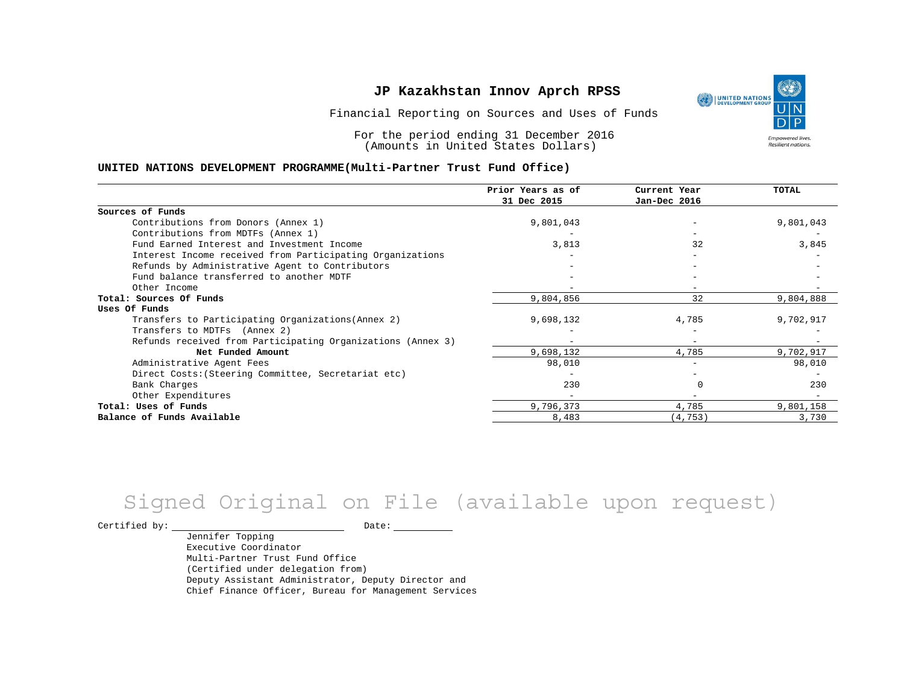### **JP Kazakhstan Innov Aprch RPSS**

Financial Reporting on Sources and Uses of Funds

For the period ending 31 December 2016 (Amounts in United States Dollars)

#### **UNITED NATIONS DEVELOPMENT PROGRAMME(Multi-Partner Trust Fund Office)**

|                                                             | Prior Years as of<br>31 Dec 2015 | Current Year<br>Jan-Dec 2016 | TOTAL     |
|-------------------------------------------------------------|----------------------------------|------------------------------|-----------|
|                                                             |                                  |                              |           |
| Sources of Funds                                            |                                  |                              |           |
| Contributions from Donors (Annex 1)                         | 9,801,043                        |                              | 9,801,043 |
| Contributions from MDTFs (Annex 1)                          |                                  |                              |           |
| Fund Earned Interest and Investment Income                  | 3,813                            | 32                           | 3,845     |
| Interest Income received from Participating Organizations   |                                  |                              |           |
| Refunds by Administrative Agent to Contributors             |                                  |                              |           |
| Fund balance transferred to another MDTF                    |                                  |                              |           |
| Other Income                                                |                                  |                              |           |
| Total: Sources Of Funds                                     | 9,804,856                        | 32                           | 9,804,888 |
| Uses Of Funds                                               |                                  |                              |           |
| Transfers to Participating Organizations (Annex 2)          | 9,698,132                        | 4,785                        | 9,702,917 |
| Transfers to MDTFs (Annex 2)                                |                                  |                              |           |
| Refunds received from Participating Organizations (Annex 3) |                                  | $\overline{\phantom{a}}$     |           |
| Net Funded Amount                                           | 9,698,132                        | 4,785                        | 9,702,917 |
| Administrative Agent Fees                                   | 98,010                           |                              | 98,010    |
| Direct Costs: (Steering Committee, Secretariat etc)         |                                  |                              |           |
| Bank Charges                                                | 230                              |                              | 230       |
| Other Expenditures                                          |                                  |                              |           |
| Total: Uses of Funds                                        | 9,796,373                        | 4,785                        | 9,801,158 |
| Balance of Funds Available                                  | 8,483                            | (4, 753)                     | 3,730     |

# Signed Original on File (available upon request)

Certified by: Date:

Jennifer Topping Executive Coordinator Multi-Partner Trust Fund Office (Certified under delegation from) Deputy Assistant Administrator, Deputy Director and Chief Finance Officer, Bureau for Management Services

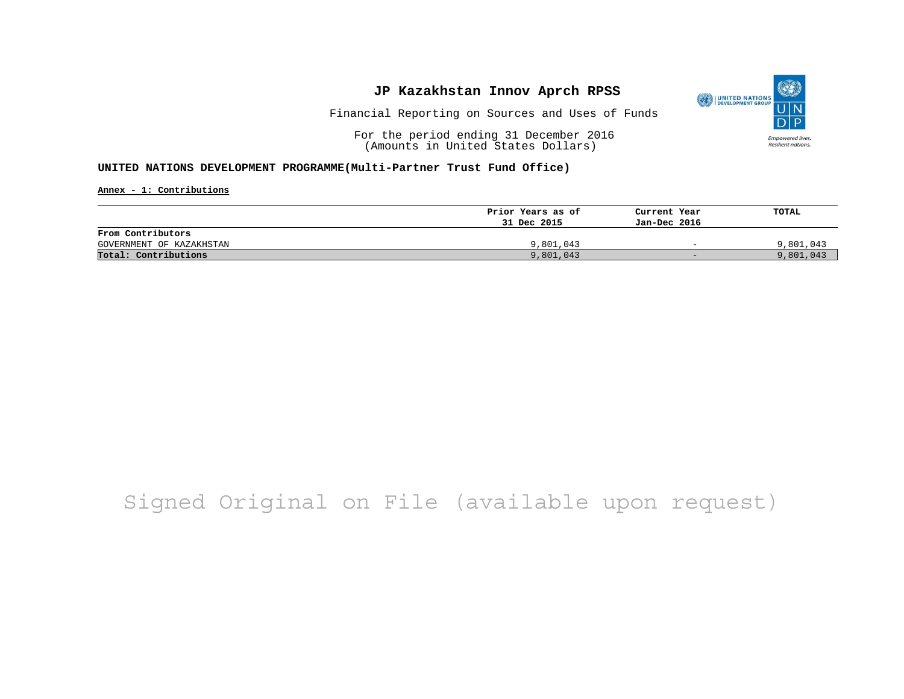### **JP Kazakhstan Innov Aprch RPSS**



Financial Reporting on Sources and Uses of Funds

For the period ending 31 December 2016 (Amounts in United States Dollars)

#### **UNITED NATIONS DEVELOPMENT PROGRAMME(Multi-Partner Trust Fund Office)**

**Annex - 1: Contributions**

|                          | Prior Years as of | Current Year             | TOTAL     |
|--------------------------|-------------------|--------------------------|-----------|
|                          | 31 Dec 2015       | Jan-Dec 2016             |           |
| From Contributors        |                   |                          |           |
| GOVERNMENT OF KAZAKHSTAN | 9,801,043         | $\overline{\phantom{0}}$ | 9,801,043 |
| Total: Contributions     | 9,801,043         | $-$                      | 9,801,043 |

# Signed Original on File (available upon request)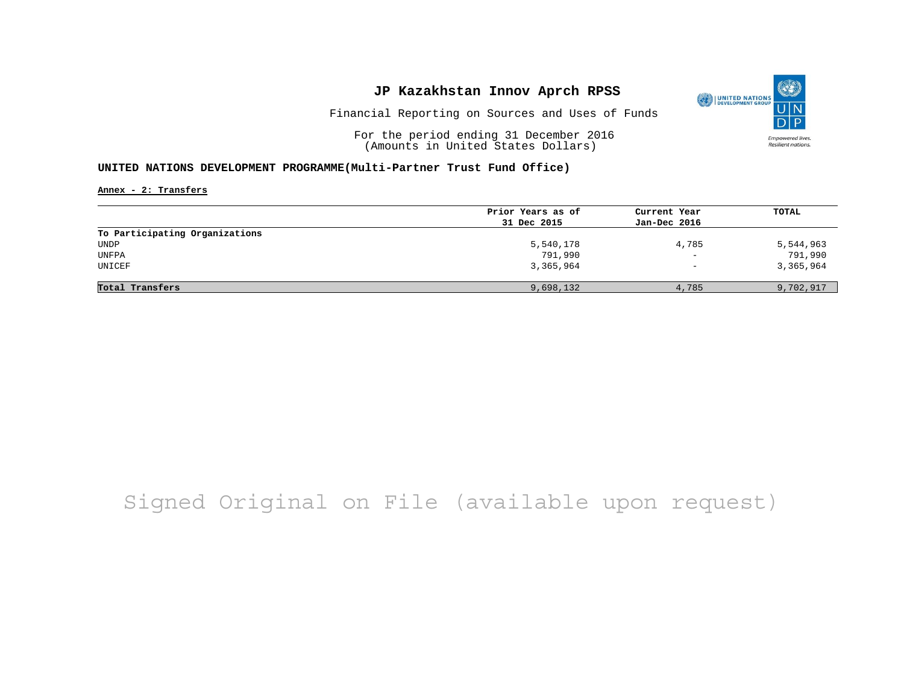### **JP Kazakhstan Innov Aprch RPSS**



Financial Reporting on Sources and Uses of Funds

For the period ending 31 December 2016 (Amounts in United States Dollars)

#### **UNITED NATIONS DEVELOPMENT PROGRAMME(Multi-Partner Trust Fund Office)**

**Annex - 2: Transfers**

|                                | Prior Years as of | Current Year             | TOTAL     |
|--------------------------------|-------------------|--------------------------|-----------|
|                                | 31 Dec 2015       | Jan-Dec 2016             |           |
| To Participating Organizations |                   |                          |           |
| UNDP                           | 5,540,178         | 4,785                    | 5,544,963 |
| UNFPA                          | 791,990           | $\overline{\phantom{m}}$ | 791,990   |
| UNICEF                         | 3,365,964         | $\overline{\phantom{0}}$ | 3,365,964 |
| Total Transfers                | 9,698,132         | 4,785                    | 9,702,917 |

# Signed Original on File (available upon request)